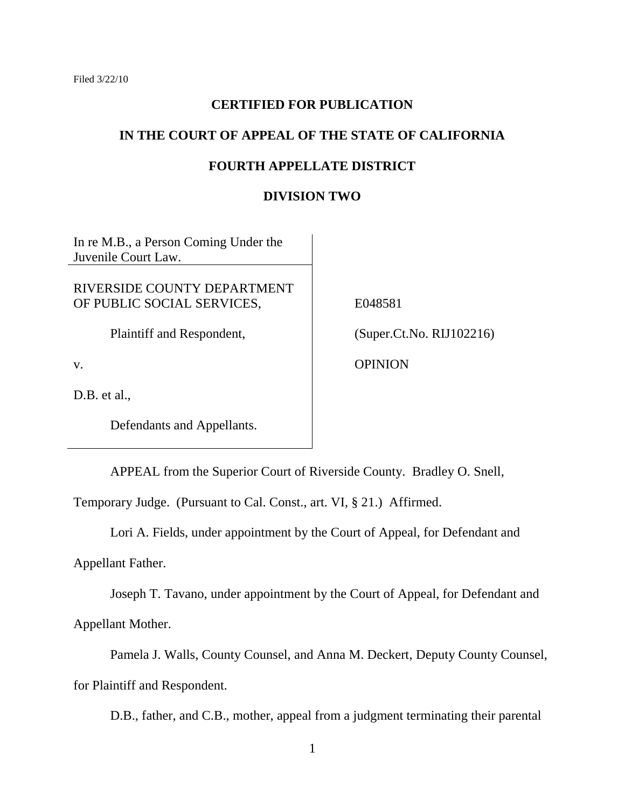## **CERTIFIED FOR PUBLICATION**

## **IN THE COURT OF APPEAL OF THE STATE OF CALIFORNIA**

## **FOURTH APPELLATE DISTRICT**

### **DIVISION TWO**

In re M.B., a Person Coming Under the Juvenile Court Law.

RIVERSIDE COUNTY DEPARTMENT OF PUBLIC SOCIAL SERVICES,

Plaintiff and Respondent,

v.

D.B. et al.,

Defendants and Appellants.

E048581

(Super.Ct.No. RIJ102216)

**OPINION** 

APPEAL from the Superior Court of Riverside County. Bradley O. Snell,

Temporary Judge. (Pursuant to Cal. Const., art. VI, § 21.) Affirmed.

Lori A. Fields, under appointment by the Court of Appeal, for Defendant and

Appellant Father.

Joseph T. Tavano, under appointment by the Court of Appeal, for Defendant and Appellant Mother.

Pamela J. Walls, County Counsel, and Anna M. Deckert, Deputy County Counsel, for Plaintiff and Respondent.

D.B., father, and C.B., mother, appeal from a judgment terminating their parental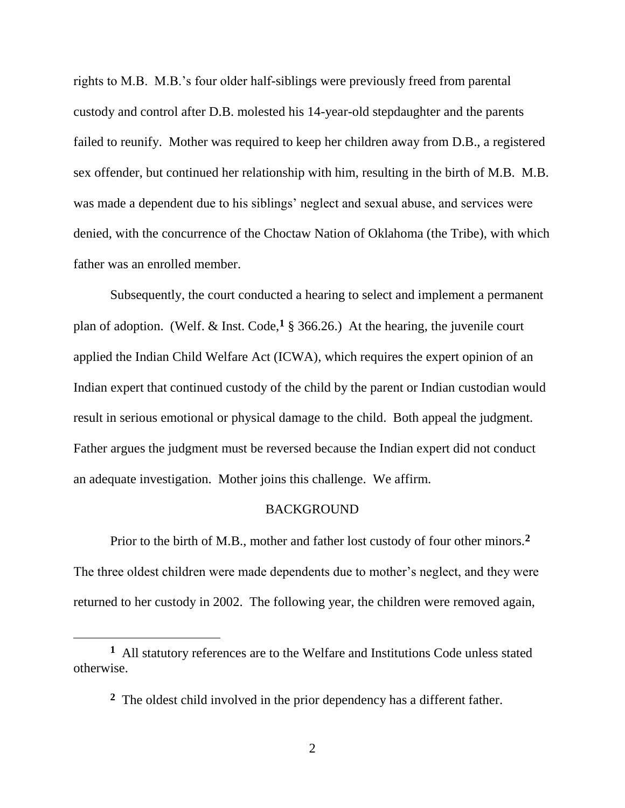rights to M.B. M.B.'s four older half-siblings were previously freed from parental custody and control after D.B. molested his 14-year-old stepdaughter and the parents failed to reunify. Mother was required to keep her children away from D.B., a registered sex offender, but continued her relationship with him, resulting in the birth of M.B. M.B. was made a dependent due to his siblings' neglect and sexual abuse, and services were denied, with the concurrence of the Choctaw Nation of Oklahoma (the Tribe), with which father was an enrolled member.

Subsequently, the court conducted a hearing to select and implement a permanent plan of adoption. (Welf. & Inst. Code,**<sup>1</sup>** § 366.26.) At the hearing, the juvenile court applied the Indian Child Welfare Act (ICWA), which requires the expert opinion of an Indian expert that continued custody of the child by the parent or Indian custodian would result in serious emotional or physical damage to the child. Both appeal the judgment. Father argues the judgment must be reversed because the Indian expert did not conduct an adequate investigation. Mother joins this challenge. We affirm.

#### **BACKGROUND**

Prior to the birth of M.B., mother and father lost custody of four other minors.**<sup>2</sup>** The three oldest children were made dependents due to mother's neglect, and they were returned to her custody in 2002. The following year, the children were removed again,

**<sup>1</sup>** All statutory references are to the Welfare and Institutions Code unless stated otherwise.

**<sup>2</sup>** The oldest child involved in the prior dependency has a different father.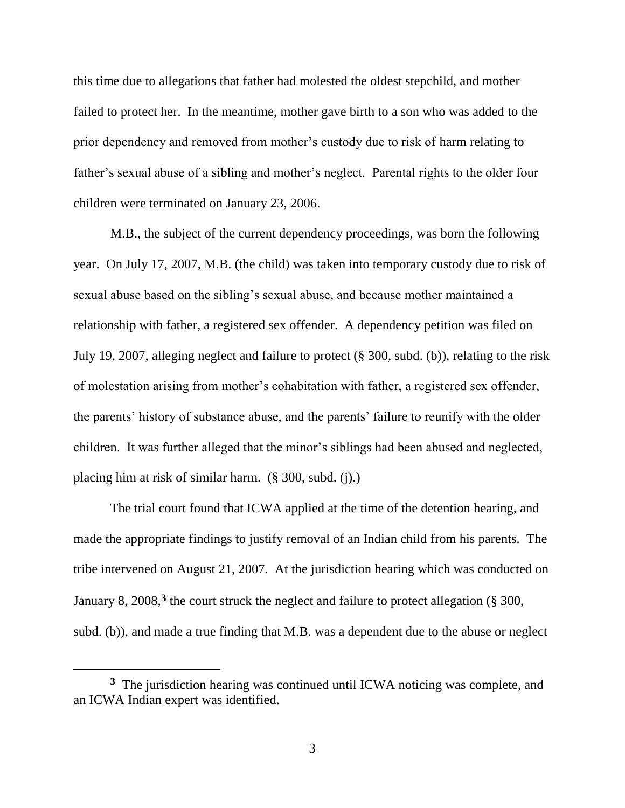this time due to allegations that father had molested the oldest stepchild, and mother failed to protect her. In the meantime, mother gave birth to a son who was added to the prior dependency and removed from mother's custody due to risk of harm relating to father's sexual abuse of a sibling and mother's neglect. Parental rights to the older four children were terminated on January 23, 2006.

M.B., the subject of the current dependency proceedings, was born the following year. On July 17, 2007, M.B. (the child) was taken into temporary custody due to risk of sexual abuse based on the sibling's sexual abuse, and because mother maintained a relationship with father, a registered sex offender. A dependency petition was filed on July 19, 2007, alleging neglect and failure to protect (§ 300, subd. (b)), relating to the risk of molestation arising from mother's cohabitation with father, a registered sex offender, the parents' history of substance abuse, and the parents' failure to reunify with the older children. It was further alleged that the minor's siblings had been abused and neglected, placing him at risk of similar harm. (§ 300, subd. (j).)

The trial court found that ICWA applied at the time of the detention hearing, and made the appropriate findings to justify removal of an Indian child from his parents. The tribe intervened on August 21, 2007. At the jurisdiction hearing which was conducted on January 8, 2008,<sup>3</sup> the court struck the neglect and failure to protect allegation (§ 300, subd. (b)), and made a true finding that M.B. was a dependent due to the abuse or neglect

<sup>&</sup>lt;sup>3</sup> The jurisdiction hearing was continued until ICWA noticing was complete, and an ICWA Indian expert was identified.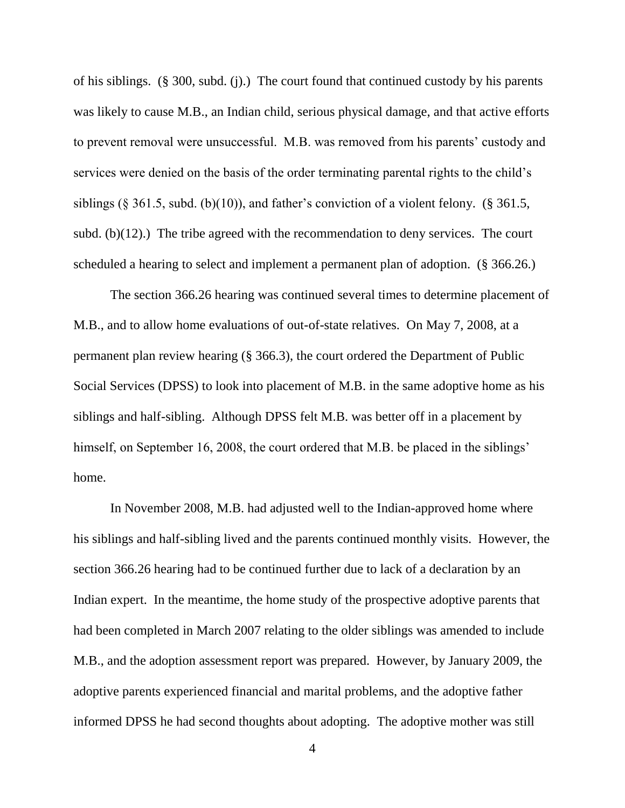of his siblings. (§ 300, subd. (j).) The court found that continued custody by his parents was likely to cause M.B., an Indian child, serious physical damage, and that active efforts to prevent removal were unsuccessful. M.B. was removed from his parents' custody and services were denied on the basis of the order terminating parental rights to the child's siblings (§ 361.5, subd. (b)(10)), and father's conviction of a violent felony. (§ 361.5, subd. (b)(12).) The tribe agreed with the recommendation to deny services. The court scheduled a hearing to select and implement a permanent plan of adoption. (§ 366.26.)

The section 366.26 hearing was continued several times to determine placement of M.B., and to allow home evaluations of out-of-state relatives. On May 7, 2008, at a permanent plan review hearing (§ 366.3), the court ordered the Department of Public Social Services (DPSS) to look into placement of M.B. in the same adoptive home as his siblings and half-sibling. Although DPSS felt M.B. was better off in a placement by himself, on September 16, 2008, the court ordered that M.B. be placed in the siblings' home.

In November 2008, M.B. had adjusted well to the Indian-approved home where his siblings and half-sibling lived and the parents continued monthly visits. However, the section 366.26 hearing had to be continued further due to lack of a declaration by an Indian expert. In the meantime, the home study of the prospective adoptive parents that had been completed in March 2007 relating to the older siblings was amended to include M.B., and the adoption assessment report was prepared. However, by January 2009, the adoptive parents experienced financial and marital problems, and the adoptive father informed DPSS he had second thoughts about adopting. The adoptive mother was still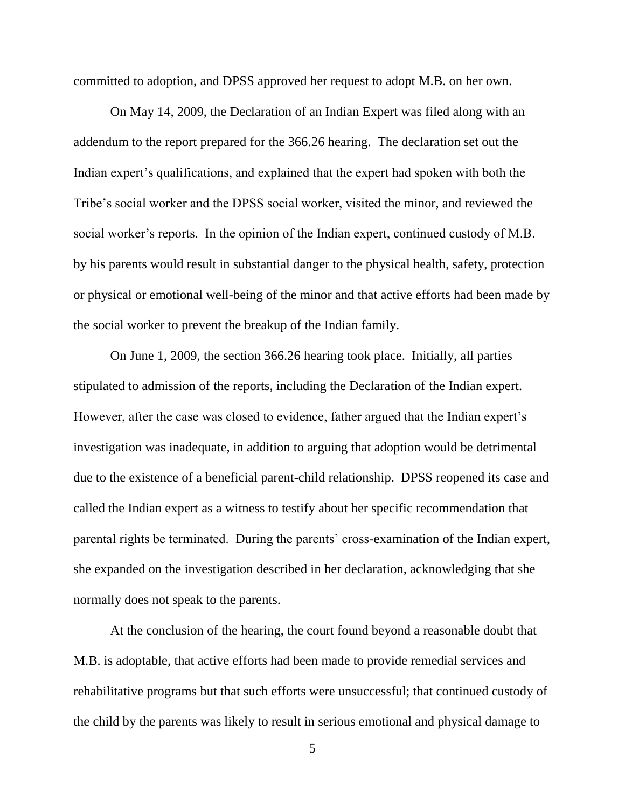committed to adoption, and DPSS approved her request to adopt M.B. on her own.

On May 14, 2009, the Declaration of an Indian Expert was filed along with an addendum to the report prepared for the 366.26 hearing. The declaration set out the Indian expert's qualifications, and explained that the expert had spoken with both the Tribe's social worker and the DPSS social worker, visited the minor, and reviewed the social worker's reports. In the opinion of the Indian expert, continued custody of M.B. by his parents would result in substantial danger to the physical health, safety, protection or physical or emotional well-being of the minor and that active efforts had been made by the social worker to prevent the breakup of the Indian family.

On June 1, 2009, the section 366.26 hearing took place. Initially, all parties stipulated to admission of the reports, including the Declaration of the Indian expert. However, after the case was closed to evidence, father argued that the Indian expert's investigation was inadequate, in addition to arguing that adoption would be detrimental due to the existence of a beneficial parent-child relationship. DPSS reopened its case and called the Indian expert as a witness to testify about her specific recommendation that parental rights be terminated. During the parents' cross-examination of the Indian expert, she expanded on the investigation described in her declaration, acknowledging that she normally does not speak to the parents.

At the conclusion of the hearing, the court found beyond a reasonable doubt that M.B. is adoptable, that active efforts had been made to provide remedial services and rehabilitative programs but that such efforts were unsuccessful; that continued custody of the child by the parents was likely to result in serious emotional and physical damage to

<sup>5</sup>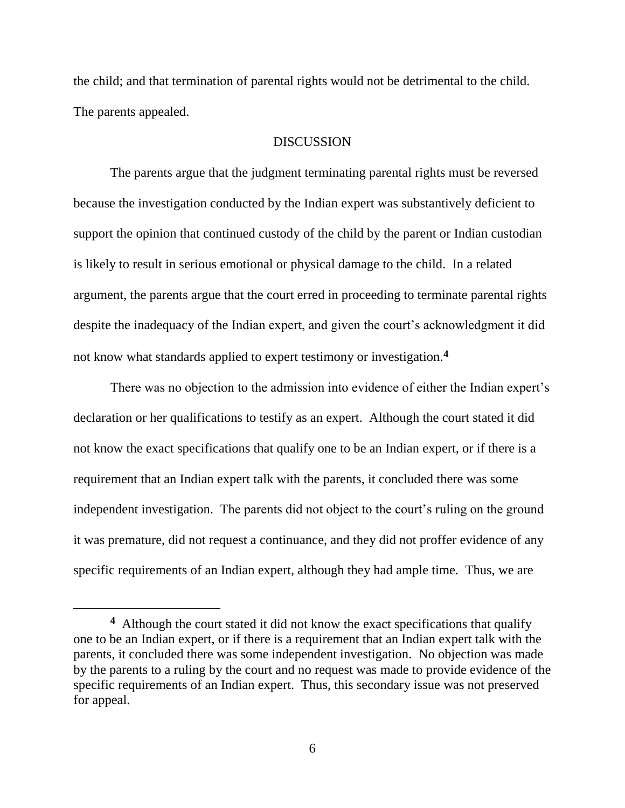the child; and that termination of parental rights would not be detrimental to the child. The parents appealed.

### **DISCUSSION**

The parents argue that the judgment terminating parental rights must be reversed because the investigation conducted by the Indian expert was substantively deficient to support the opinion that continued custody of the child by the parent or Indian custodian is likely to result in serious emotional or physical damage to the child. In a related argument, the parents argue that the court erred in proceeding to terminate parental rights despite the inadequacy of the Indian expert, and given the court's acknowledgment it did not know what standards applied to expert testimony or investigation.**<sup>4</sup>**

There was no objection to the admission into evidence of either the Indian expert's declaration or her qualifications to testify as an expert. Although the court stated it did not know the exact specifications that qualify one to be an Indian expert, or if there is a requirement that an Indian expert talk with the parents, it concluded there was some independent investigation. The parents did not object to the court's ruling on the ground it was premature, did not request a continuance, and they did not proffer evidence of any specific requirements of an Indian expert, although they had ample time. Thus, we are

 $\overline{a}$ 

**<sup>4</sup>** Although the court stated it did not know the exact specifications that qualify one to be an Indian expert, or if there is a requirement that an Indian expert talk with the parents, it concluded there was some independent investigation. No objection was made by the parents to a ruling by the court and no request was made to provide evidence of the specific requirements of an Indian expert. Thus, this secondary issue was not preserved for appeal.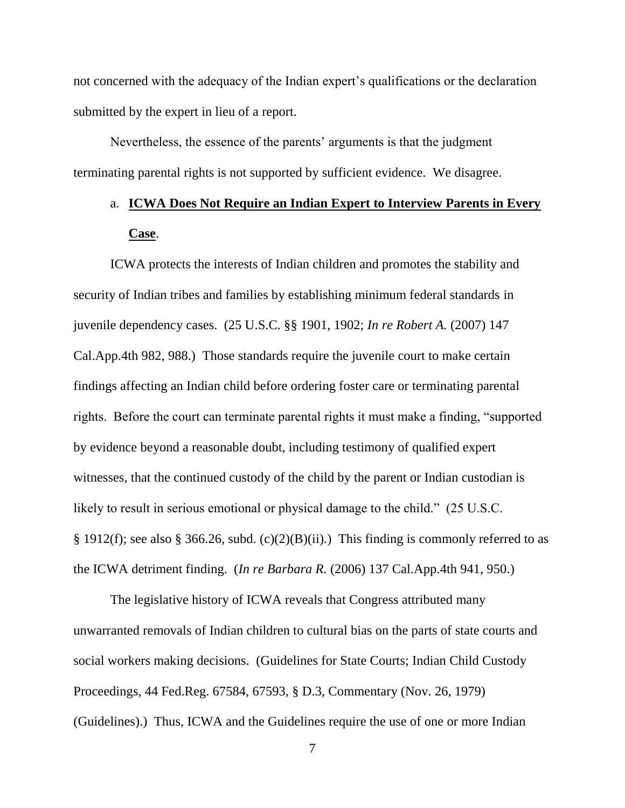not concerned with the adequacy of the Indian expert's qualifications or the declaration submitted by the expert in lieu of a report.

Nevertheless, the essence of the parents' arguments is that the judgment terminating parental rights is not supported by sufficient evidence. We disagree.

# a. **ICWA Does Not Require an Indian Expert to Interview Parents in Every Case**.

ICWA protects the interests of Indian children and promotes the stability and security of Indian tribes and families by establishing minimum federal standards in juvenile dependency cases. (25 U.S.C. §§ 1901, 1902; *In re Robert A.* (2007) 147 Cal.App.4th 982, 988.) Those standards require the juvenile court to make certain findings affecting an Indian child before ordering foster care or terminating parental rights. Before the court can terminate parental rights it must make a finding, "supported by evidence beyond a reasonable doubt, including testimony of qualified expert witnesses, that the continued custody of the child by the parent or Indian custodian is likely to result in serious emotional or physical damage to the child." (25 U.S.C.) § 1912(f); see also § 366.26, subd. (c)(2)(B)(ii).) This finding is commonly referred to as the ICWA detriment finding. (*In re Barbara R.* (2006) 137 Cal.App.4th 941, 950.)

The legislative history of ICWA reveals that Congress attributed many unwarranted removals of Indian children to cultural bias on the parts of state courts and social workers making decisions. (Guidelines for State Courts; Indian Child Custody Proceedings, 44 Fed.Reg. 67584, 67593, § D.3, Commentary (Nov. 26, 1979) (Guidelines).) Thus, ICWA and the Guidelines require the use of one or more Indian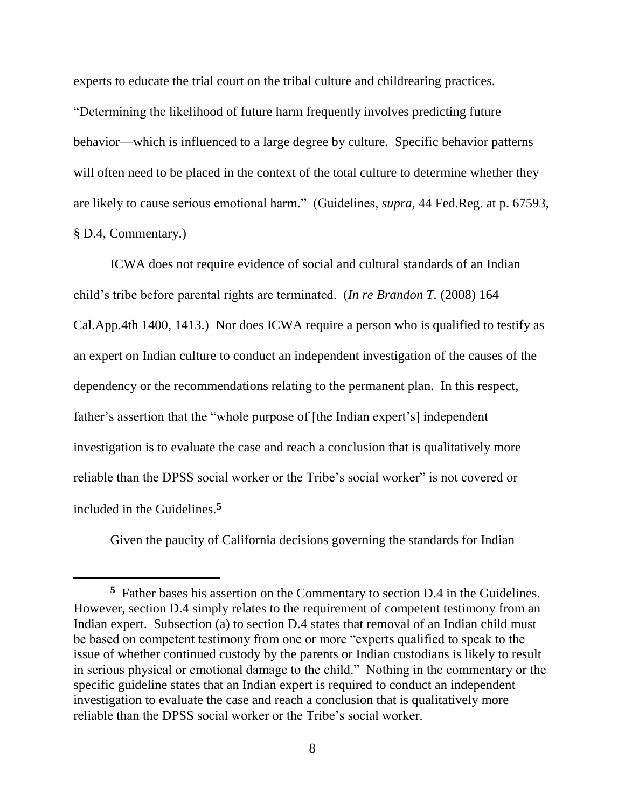experts to educate the trial court on the tribal culture and childrearing practices. ―Determining the likelihood of future harm frequently involves predicting future behavior—which is influenced to a large degree by culture. Specific behavior patterns will often need to be placed in the context of the total culture to determine whether they are likely to cause serious emotional harm." (Guidelines, *supra*, 44 Fed.Reg. at p. 67593, § D.4, Commentary.)

ICWA does not require evidence of social and cultural standards of an Indian child's tribe before parental rights are terminated. (*In re Brandon T.* (2008) 164 Cal.App.4th 1400, 1413.) Nor does ICWA require a person who is qualified to testify as an expert on Indian culture to conduct an independent investigation of the causes of the dependency or the recommendations relating to the permanent plan. In this respect, father's assertion that the "whole purpose of [the Indian expert's] independent investigation is to evaluate the case and reach a conclusion that is qualitatively more reliable than the DPSS social worker or the Tribe's social worker" is not covered or included in the Guidelines.**<sup>5</sup>**

Given the paucity of California decisions governing the standards for Indian

 $\overline{a}$ 

**<sup>5</sup>** Father bases his assertion on the Commentary to section D.4 in the Guidelines. However, section D.4 simply relates to the requirement of competent testimony from an Indian expert. Subsection (a) to section D.4 states that removal of an Indian child must be based on competent testimony from one or more "experts qualified to speak to the issue of whether continued custody by the parents or Indian custodians is likely to result in serious physical or emotional damage to the child." Nothing in the commentary or the specific guideline states that an Indian expert is required to conduct an independent investigation to evaluate the case and reach a conclusion that is qualitatively more reliable than the DPSS social worker or the Tribe's social worker.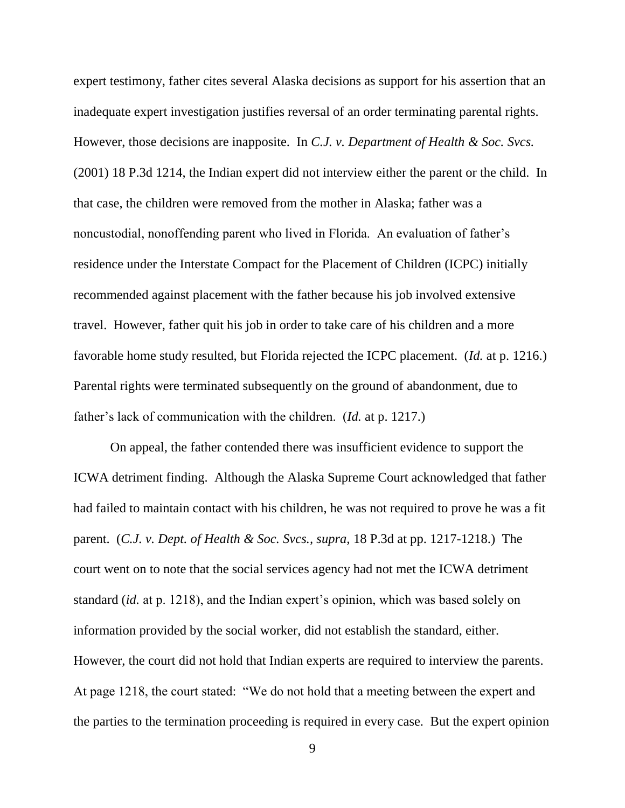expert testimony, father cites several Alaska decisions as support for his assertion that an inadequate expert investigation justifies reversal of an order terminating parental rights. However, those decisions are inapposite. In *C.J. v. Department of Health & Soc. Svcs.*  (2001) 18 P.3d 1214, the Indian expert did not interview either the parent or the child. In that case, the children were removed from the mother in Alaska; father was a noncustodial, nonoffending parent who lived in Florida. An evaluation of father's residence under the Interstate Compact for the Placement of Children (ICPC) initially recommended against placement with the father because his job involved extensive travel. However, father quit his job in order to take care of his children and a more favorable home study resulted, but Florida rejected the ICPC placement. (*Id.* at p. 1216.) Parental rights were terminated subsequently on the ground of abandonment, due to father's lack of communication with the children. (*Id.* at p. 1217.)

On appeal, the father contended there was insufficient evidence to support the ICWA detriment finding. Although the Alaska Supreme Court acknowledged that father had failed to maintain contact with his children, he was not required to prove he was a fit parent. (*C.J. v. Dept. of Health & Soc. Svcs., supra,* 18 P.3d at pp. 1217-1218.) The court went on to note that the social services agency had not met the ICWA detriment standard (*id.* at p. 1218), and the Indian expert's opinion, which was based solely on information provided by the social worker, did not establish the standard, either. However, the court did not hold that Indian experts are required to interview the parents. At page 1218, the court stated: "We do not hold that a meeting between the expert and the parties to the termination proceeding is required in every case. But the expert opinion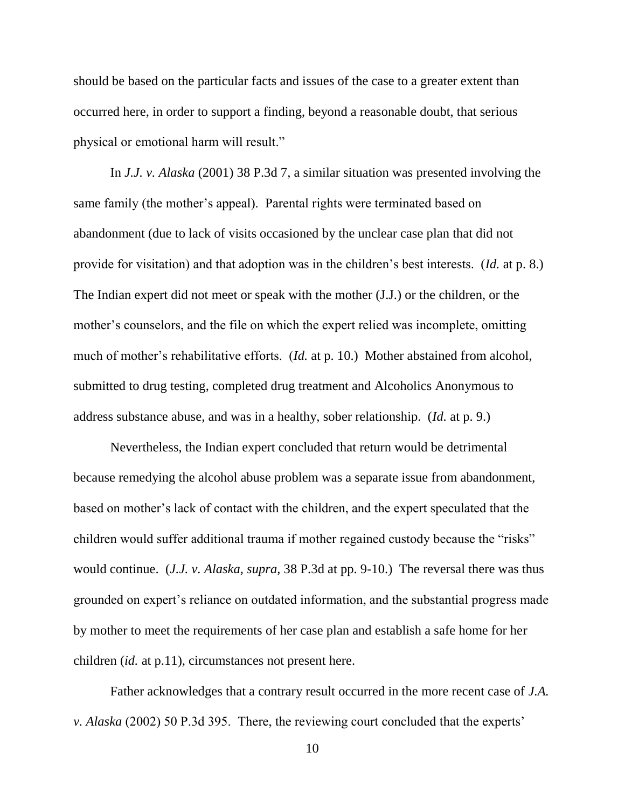should be based on the particular facts and issues of the case to a greater extent than occurred here, in order to support a finding, beyond a reasonable doubt, that serious physical or emotional harm will result."

In *J.J. v. Alaska* (2001) 38 P.3d 7, a similar situation was presented involving the same family (the mother's appeal). Parental rights were terminated based on abandonment (due to lack of visits occasioned by the unclear case plan that did not provide for visitation) and that adoption was in the children's best interests. (*Id.* at p. 8.) The Indian expert did not meet or speak with the mother (J.J.) or the children, or the mother's counselors, and the file on which the expert relied was incomplete, omitting much of mother's rehabilitative efforts. (*Id.* at p. 10.) Mother abstained from alcohol, submitted to drug testing, completed drug treatment and Alcoholics Anonymous to address substance abuse, and was in a healthy, sober relationship. (*Id.* at p. 9.)

Nevertheless, the Indian expert concluded that return would be detrimental because remedying the alcohol abuse problem was a separate issue from abandonment, based on mother's lack of contact with the children, and the expert speculated that the children would suffer additional trauma if mother regained custody because the "risks" would continue. (*J.J. v. Alaska, supra,* 38 P.3d at pp. 9-10.) The reversal there was thus grounded on expert's reliance on outdated information, and the substantial progress made by mother to meet the requirements of her case plan and establish a safe home for her children (*id.* at p.11), circumstances not present here.

Father acknowledges that a contrary result occurred in the more recent case of *J.A. v. Alaska* (2002) 50 P.3d 395. There, the reviewing court concluded that the experts'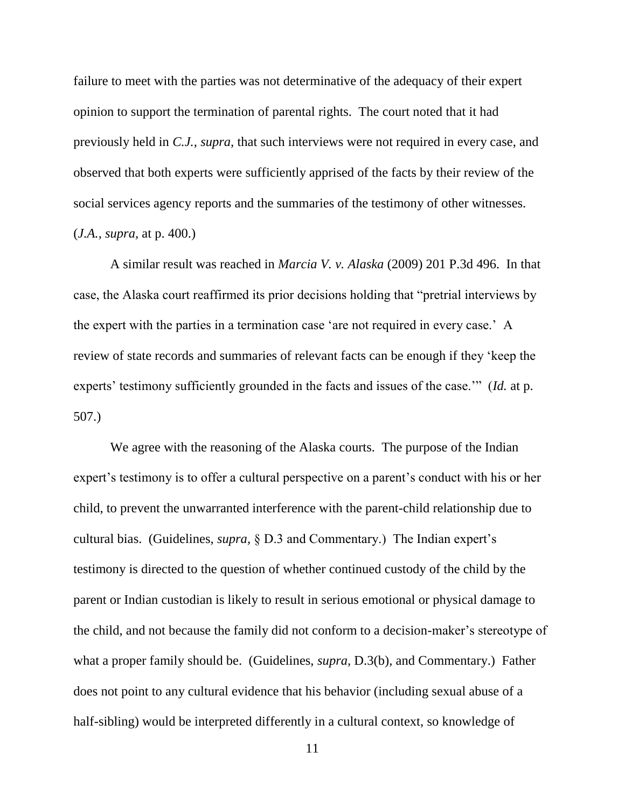failure to meet with the parties was not determinative of the adequacy of their expert opinion to support the termination of parental rights. The court noted that it had previously held in *C.J., supra,* that such interviews were not required in every case, and observed that both experts were sufficiently apprised of the facts by their review of the social services agency reports and the summaries of the testimony of other witnesses. (*J.A., supra,* at p. 400.)

A similar result was reached in *Marcia V. v. Alaska* (2009) 201 P.3d 496. In that case, the Alaska court reaffirmed its prior decisions holding that "pretrial interviews by the expert with the parties in a termination case 'are not required in every case.' A review of state records and summaries of relevant facts can be enough if they 'keep the experts' testimony sufficiently grounded in the facts and issues of the case.'" (*Id.* at p. 507.)

We agree with the reasoning of the Alaska courts. The purpose of the Indian expert's testimony is to offer a cultural perspective on a parent's conduct with his or her child, to prevent the unwarranted interference with the parent-child relationship due to cultural bias. (Guidelines, *supra,* § D.3 and Commentary.) The Indian expert's testimony is directed to the question of whether continued custody of the child by the parent or Indian custodian is likely to result in serious emotional or physical damage to the child, and not because the family did not conform to a decision-maker's stereotype of what a proper family should be. (Guidelines, *supra,* D.3(b), and Commentary.) Father does not point to any cultural evidence that his behavior (including sexual abuse of a half-sibling) would be interpreted differently in a cultural context, so knowledge of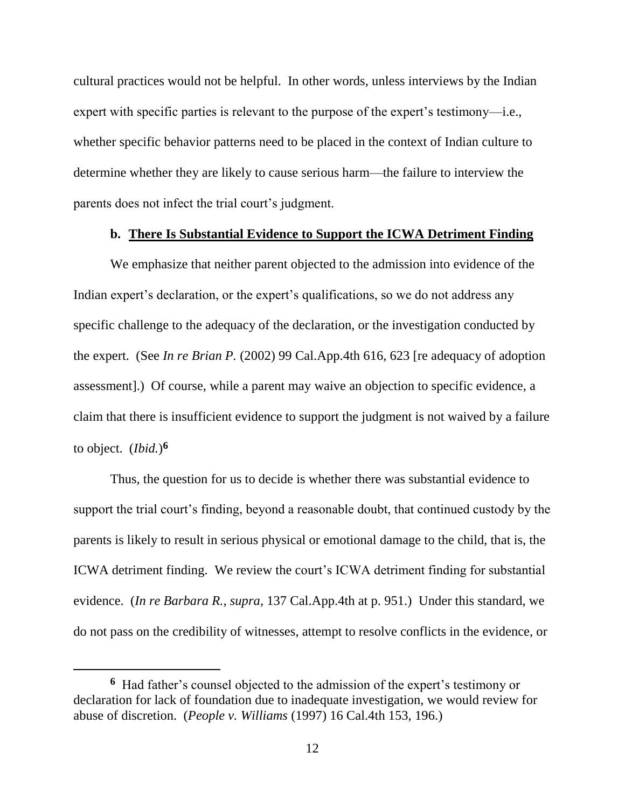cultural practices would not be helpful. In other words, unless interviews by the Indian expert with specific parties is relevant to the purpose of the expert's testimony—i.e., whether specific behavior patterns need to be placed in the context of Indian culture to determine whether they are likely to cause serious harm—the failure to interview the parents does not infect the trial court's judgment.

## **b. There Is Substantial Evidence to Support the ICWA Detriment Finding**

We emphasize that neither parent objected to the admission into evidence of the Indian expert's declaration, or the expert's qualifications, so we do not address any specific challenge to the adequacy of the declaration, or the investigation conducted by the expert. (See *In re Brian P.* (2002) 99 Cal.App.4th 616, 623 [re adequacy of adoption assessment].) Of course, while a parent may waive an objection to specific evidence, a claim that there is insufficient evidence to support the judgment is not waived by a failure to object. (*Ibid.*) **6**

Thus, the question for us to decide is whether there was substantial evidence to support the trial court's finding, beyond a reasonable doubt, that continued custody by the parents is likely to result in serious physical or emotional damage to the child, that is, the ICWA detriment finding. We review the court's ICWA detriment finding for substantial evidence. (*In re Barbara R., supra*, 137 Cal.App.4th at p. 951.) Under this standard, we do not pass on the credibility of witnesses, attempt to resolve conflicts in the evidence, or

**<sup>6</sup>** Had father's counsel objected to the admission of the expert's testimony or declaration for lack of foundation due to inadequate investigation, we would review for abuse of discretion. (*People v. Williams* (1997) 16 Cal.4th 153, 196.)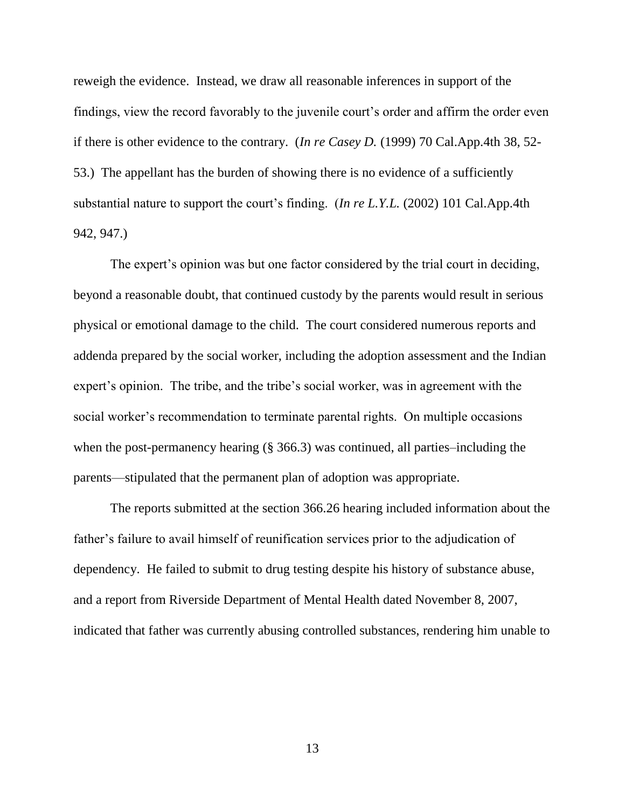reweigh the evidence. Instead, we draw all reasonable inferences in support of the findings, view the record favorably to the juvenile court's order and affirm the order even if there is other evidence to the contrary. (*In re Casey D.* (1999) 70 Cal.App.4th 38, 52- 53.) The appellant has the burden of showing there is no evidence of a sufficiently substantial nature to support the court's finding. (*In re L.Y.L.* (2002) 101 Cal.App.4th 942, 947.)

The expert's opinion was but one factor considered by the trial court in deciding, beyond a reasonable doubt, that continued custody by the parents would result in serious physical or emotional damage to the child. The court considered numerous reports and addenda prepared by the social worker, including the adoption assessment and the Indian expert's opinion. The tribe, and the tribe's social worker, was in agreement with the social worker's recommendation to terminate parental rights. On multiple occasions when the post-permanency hearing (§ 366.3) was continued, all parties–including the parents—stipulated that the permanent plan of adoption was appropriate.

The reports submitted at the section 366.26 hearing included information about the father's failure to avail himself of reunification services prior to the adjudication of dependency. He failed to submit to drug testing despite his history of substance abuse, and a report from Riverside Department of Mental Health dated November 8, 2007, indicated that father was currently abusing controlled substances, rendering him unable to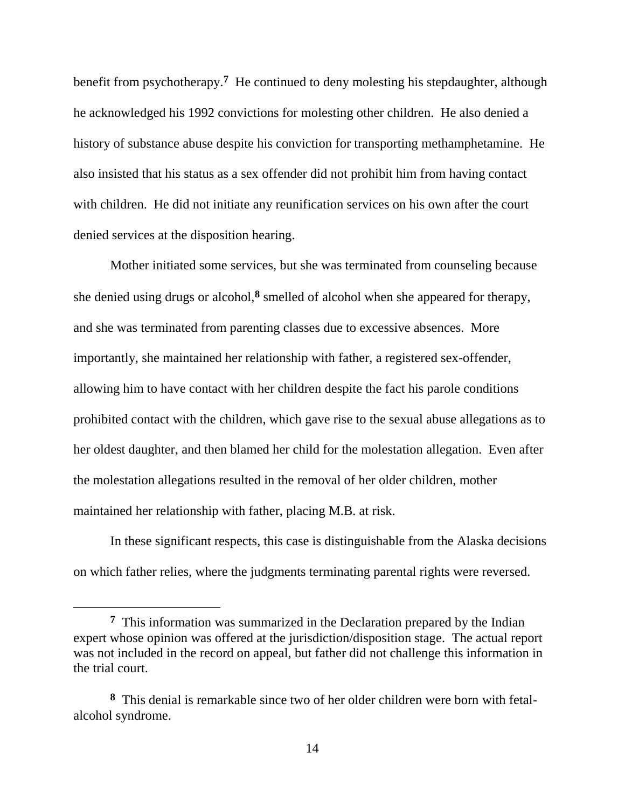benefit from psychotherapy.**<sup>7</sup>** He continued to deny molesting his stepdaughter, although he acknowledged his 1992 convictions for molesting other children. He also denied a history of substance abuse despite his conviction for transporting methamphetamine. He also insisted that his status as a sex offender did not prohibit him from having contact with children. He did not initiate any reunification services on his own after the court denied services at the disposition hearing.

Mother initiated some services, but she was terminated from counseling because she denied using drugs or alcohol,**<sup>8</sup>** smelled of alcohol when she appeared for therapy, and she was terminated from parenting classes due to excessive absences. More importantly, she maintained her relationship with father, a registered sex-offender, allowing him to have contact with her children despite the fact his parole conditions prohibited contact with the children, which gave rise to the sexual abuse allegations as to her oldest daughter, and then blamed her child for the molestation allegation. Even after the molestation allegations resulted in the removal of her older children, mother maintained her relationship with father, placing M.B. at risk.

In these significant respects, this case is distinguishable from the Alaska decisions on which father relies, where the judgments terminating parental rights were reversed.

 $\overline{a}$ 

<sup>&</sup>lt;sup>7</sup> This information was summarized in the Declaration prepared by the Indian expert whose opinion was offered at the jurisdiction/disposition stage. The actual report was not included in the record on appeal, but father did not challenge this information in the trial court.

**<sup>8</sup>** This denial is remarkable since two of her older children were born with fetalalcohol syndrome.